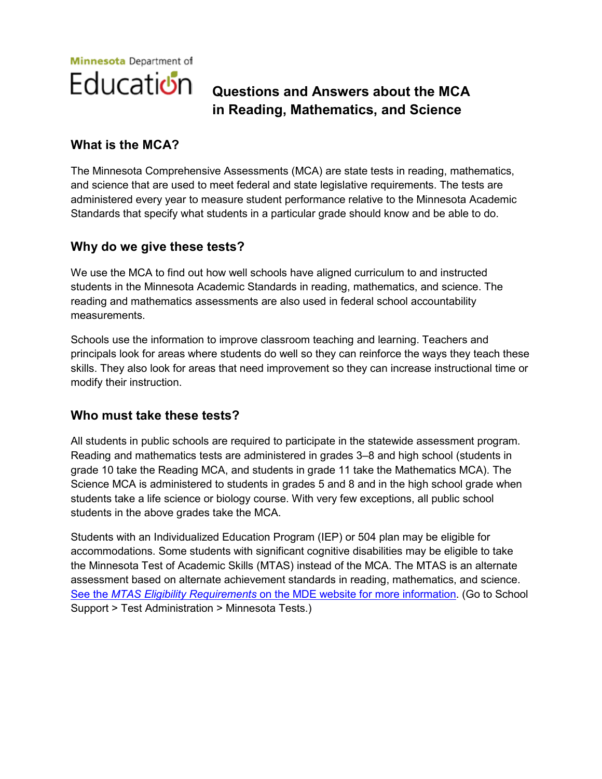

# **Questions and Answers about the MCA in Reading, Mathematics, and Science**

## **What is the MCA?**

The Minnesota Comprehensive Assessments (MCA) are state tests in reading, mathematics, and science that are used to meet federal and state legislative requirements. The tests are administered every year to measure student performance relative to the Minnesota Academic Standards that specify what students in a particular grade should know and be able to do.

# **Why do we give these tests?**

We use the MCA to find out how well schools have aligned curriculum to and instructed students in the Minnesota Academic Standards in reading, mathematics, and science. The reading and mathematics assessments are also used in federal school accountability measurements.

Schools use the information to improve classroom teaching and learning. Teachers and principals look for areas where students do well so they can reinforce the ways they teach these skills. They also look for areas that need improvement so they can increase instructional time or modify their instruction.

## **Who must take these tests?**

All students in public schools are required to participate in the statewide assessment program. Reading and mathematics tests are administered in grades 3–8 and high school (students in grade 10 take the Reading MCA, and students in grade 11 take the Mathematics MCA). The Science MCA is administered to students in grades 5 and 8 and in the high school grade when students take a life science or biology course. With very few exceptions, all public school students in the above grades take the MCA.

Students with an Individualized Education Program (IEP) or 504 plan may be eligible for accommodations. Some students with significant cognitive disabilities may be eligible to take the Minnesota Test of Academic Skills (MTAS) instead of the MCA. The MTAS is an alternate assessment based on alternate achievement standards in reading, mathematics, and science. See the *MTAS Eligibility Requirements* [on the MDE website for more information.](http://education.state.mn.us/MDE/SchSup/TestAdmin/MNTests/index.html) (Go to School Support > Test Administration > Minnesota Tests.)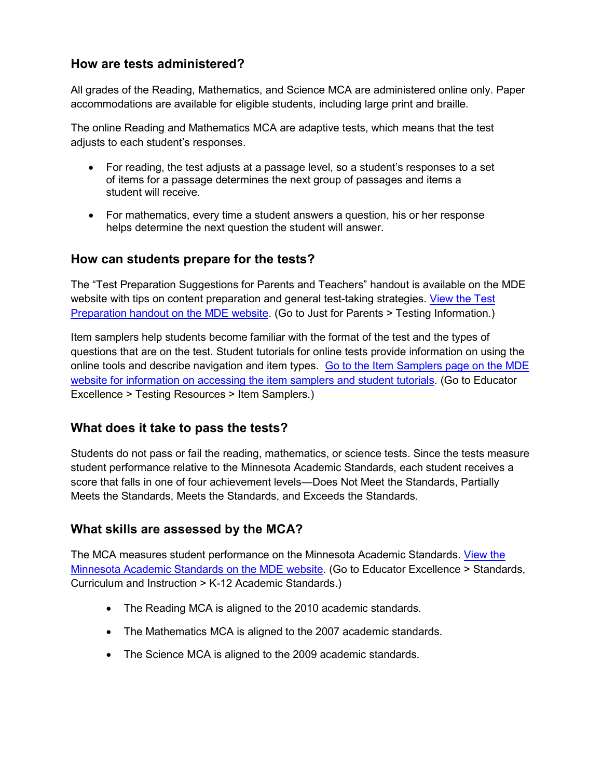#### **How are tests administered?**

All grades of the Reading, Mathematics, and Science MCA are administered online only. Paper accommodations are available for eligible students, including large print and braille.

The online Reading and Mathematics MCA are adaptive tests, which means that the test adiusts to each student's responses.

- For reading, the test adjusts at a passage level, so a student's responses to a set of items for a passage determines the next group of passages and items a student will receive.
- For mathematics, every time a student answers a question, his or her response helps determine the next question the student will answer.

#### **How can students prepare for the tests?**

The "Test Preparation Suggestions for Parents and Teachers" handout is available on the MDE website with tips on content preparation and general test-taking strategies. [View the Test](http://education.state.mn.us/MDE/JustParent/TestReq/index.html)  [Preparation handout on the MDE website.](http://education.state.mn.us/MDE/JustParent/TestReq/index.html) (Go to Just for Parents > Testing Information.)

Item samplers help students become familiar with the format of the test and the types of questions that are on the test. Student tutorials for online tests provide information on using the online tools and describe navigation and item types. [Go to the Item Samplers page on the MDE](http://education.state.mn.us/MDE/EdExc/Testing/ItemSampler/index.html)  [website for information on accessing the item samplers and student tutorials.](http://education.state.mn.us/MDE/EdExc/Testing/ItemSampler/index.html) (Go to Educator Excellence > Testing Resources > Item Samplers.)

#### **What does it take to pass the tests?**

Students do not pass or fail the reading, mathematics, or science tests. Since the tests measure student performance relative to the Minnesota Academic Standards, each student receives a score that falls in one of four achievement levels—Does Not Meet the Standards, Partially Meets the Standards, Meets the Standards, and Exceeds the Standards.

#### **What skills are assessed by the MCA?**

The MCA measures student performance on the Minnesota Academic Standards. [View the](http://education.state.mn.us/MDE/EdExc/StanCurri/K-12AcademicStandards/index.htm)  [Minnesota Academic Standards on the MDE website.](http://education.state.mn.us/MDE/EdExc/StanCurri/K-12AcademicStandards/index.htm) (Go to Educator Excellence > Standards, Curriculum and Instruction > K-12 Academic Standards.)

- The Reading MCA is aligned to the 2010 academic standards.
- The Mathematics MCA is aligned to the 2007 academic standards.
- The Science MCA is aligned to the 2009 academic standards.